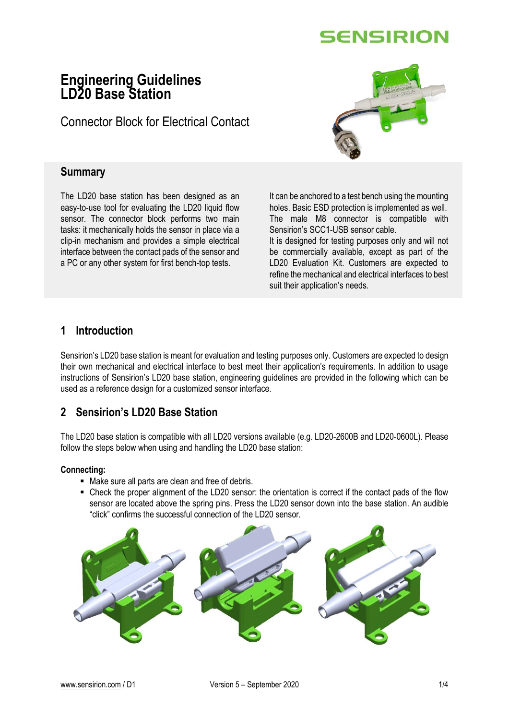

## **Engineering Guidelines LD20 Base Station**

Connector Block for Electrical Contact



### **Summary**

The LD20 base station has been designed as an easy-to-use tool for evaluating the LD20 liquid flow sensor. The connector block performs two main tasks: it mechanically holds the sensor in place via a clip-in mechanism and provides a simple electrical interface between the contact pads of the sensor and a PC or any other system for first bench-top tests.

It can be anchored to a test bench using the mounting holes. Basic ESD protection is implemented as well. The male M8 connector is compatible with Sensirion's SCC1-USB sensor cable.

It is designed for testing purposes only and will not be commercially available, except as part of the LD20 Evaluation Kit. Customers are expected to refine the mechanical and electrical interfaces to best suit their application's needs.

## **1 Introduction**

Sensirion's LD20 base station is meant for evaluation and testing purposes only. Customers are expected to design their own mechanical and electrical interface to best meet their application's requirements. In addition to usage instructions of Sensirion's LD20 base station, engineering guidelines are provided in the following which can be used as a reference design for a customized sensor interface.

## **2 Sensirion's LD20 Base Station**

The LD20 base station is compatible with all LD20 versions available (e.g. LD20-2600B and LD20-0600L). Please follow the steps below when using and handling the LD20 base station:

#### **Connecting:**

- Make sure all parts are clean and free of debris.
- Check the proper alignment of the LD20 sensor: the orientation is correct if the contact pads of the flow sensor are located above the spring pins. Press the LD20 sensor down into the base station. An audible "click" confirms the successful connection of the LD20 sensor.

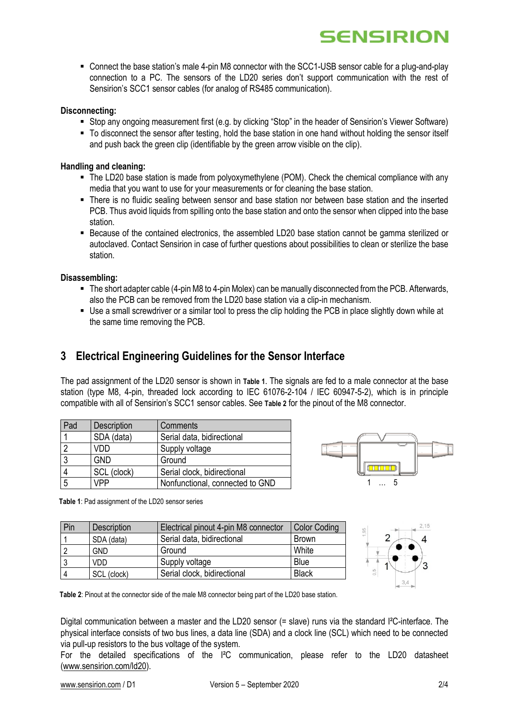# **SENSIRION**

 Connect the base station's male 4-pin M8 connector with the SCC1-USB sensor cable for a plug-and-play connection to a PC. The sensors of the LD20 series don't support communication with the rest of Sensirion's SCC1 sensor cables (for analog of RS485 communication).

#### **Disconnecting:**

- Stop any ongoing measurement first (e.g. by clicking "Stop" in the header of Sensirion's Viewer Software)
- To disconnect the sensor after testing, hold the base station in one hand without holding the sensor itself and push back the green clip (identifiable by the green arrow visible on the clip).

#### **Handling and cleaning:**

- The LD20 base station is made from polyoxymethylene (POM). Check the chemical compliance with any media that you want to use for your measurements or for cleaning the base station.
- There is no fluidic sealing between sensor and base station nor between base station and the inserted PCB. Thus avoid liquids from spilling onto the base station and onto the sensor when clipped into the base station.
- Because of the contained electronics, the assembled LD20 base station cannot be gamma sterilized or autoclaved. Contact Sensirion in case of further questions about possibilities to clean or sterilize the base station.

#### **Disassembling:**

- $\blacksquare$  The short adapter cable (4-pin M8 to 4-pin Molex) can be manually disconnected from the PCB. Afterwards, also the PCB can be removed from the LD20 base station via a clip-in mechanism.
- Use a small screwdriver or a similar tool to press the clip holding the PCB in place slightly down while at the same time removing the PCB.

## **3 Electrical Engineering Guidelines for the Sensor Interface**

The pad assignment of the LD20 sensor is shown in **[Table 1](#page-1-0)**[.](#page-1-0) The signals are fed to a male connector at the base station (type M8, 4-pin, threaded lock according to IEC 61076-2-104 / IEC 60947-5-2), which is in principle compatible with all of Sensirion's SCC1 sensor cables. See **[Table 2](#page-1-1)** for the pinout of the M8 connector.

| Pad | Description | Comments                        |
|-----|-------------|---------------------------------|
|     | SDA (data)  | Serial data, bidirectional      |
|     | VDD         | Supply voltage                  |
|     | <b>GND</b>  | Ground                          |
|     | SCL (clock) | Serial clock, bidirectional     |
| 5   | <b>VPP</b>  | Nonfunctional, connected to GND |



<span id="page-1-0"></span>**Table 1**: Pad assignment of the LD20 sensor series

| Pin | <b>Description</b> | Electrical pinout 4-pin M8 connector | <b>Color Coding</b> |
|-----|--------------------|--------------------------------------|---------------------|
|     | SDA (data)         | Serial data, bidirectional           | <b>Brown</b>        |
|     | <b>GND</b>         | Ground                               | White               |
|     | VDD                | Supply voltage                       | Blue                |
|     | SCL (clock)        | Serial clock, bidirectional          | <b>Black</b>        |



<span id="page-1-1"></span>**Table 2**: Pinout at the connector side of the male M8 connector being part of the LD20 base station.

Digital communication between a master and the LD20 sensor (= slave) runs via the standard I<sup>2</sup>C-interface. The physical interface consists of two bus lines, a data line (SDA) and a clock line (SCL) which need to be connected via pull-up resistors to the bus voltage of the system.

For the detailed specifications of the I<sup>2</sup>C communication, please refer to the LD20 datasheet [\(www.sensirion.com/ld20\)](http://www.sensirion.com/ld20).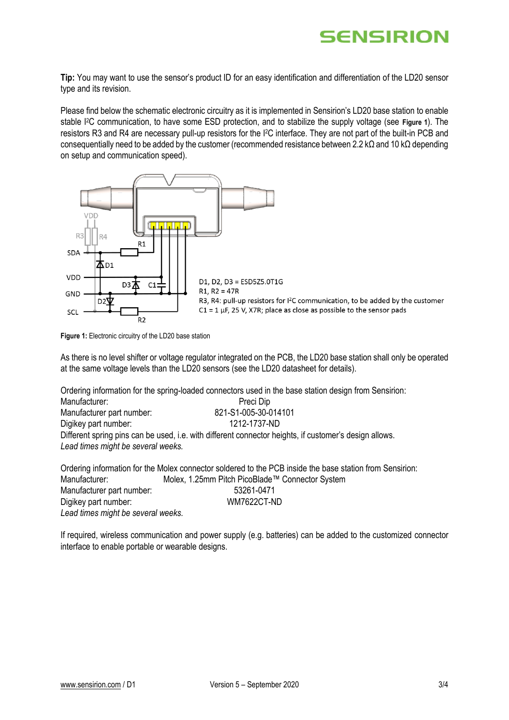## **SENSIRION**

**Tip:** You may want to use the sensor's product ID for an easy identification and differentiation of the LD20 sensor type and its revision.

Please find below the schematic electronic circuitry as it is implemented in Sensirion's LD20 base station to enable stable I2C communication, to have some ESD protection, and to stabilize the supply voltage (see **[Figure 1](#page-2-0)**). The resistors R3 and R4 are necessary pull-up resistors for the I2C interface. They are not part of the built-in PCB and consequentially need to be added by the customer (recommended resistance between 2.2 kΩ and 10 kΩ depending on setup and communication speed).



<span id="page-2-0"></span>**Figure 1:** Electronic circuitry of the LD20 base station

As there is no level shifter or voltage regulator integrated on the PCB, the LD20 base station shall only be operated at the same voltage levels than the LD20 sensors (see the LD20 datasheet for details).

Ordering information for the spring-loaded connectors used in the base station design from Sensirion:

| Manufacturer:                      | Preci Dip                                                                                              |  |
|------------------------------------|--------------------------------------------------------------------------------------------------------|--|
| Manufacturer part number:          | 821-S1-005-30-014101                                                                                   |  |
| Digikey part number:               | 1212-1737-ND                                                                                           |  |
| Lead times might be several weeks. | Different spring pins can be used, i.e. with different connector heights, if customer's design allows. |  |
|                                    |                                                                                                        |  |

Ordering information for the Molex connector soldered to the PCB inside the base station from Sensirion: Manufacturer: Molex, 1.25mm Pitch PicoBlade™ Connector System Manufacturer part number: 53261-0471 Digikey part number: WM7622CT-ND *Lead times might be several weeks.*

If required, wireless communication and power supply (e.g. batteries) can be added to the customized connector interface to enable portable or wearable designs.